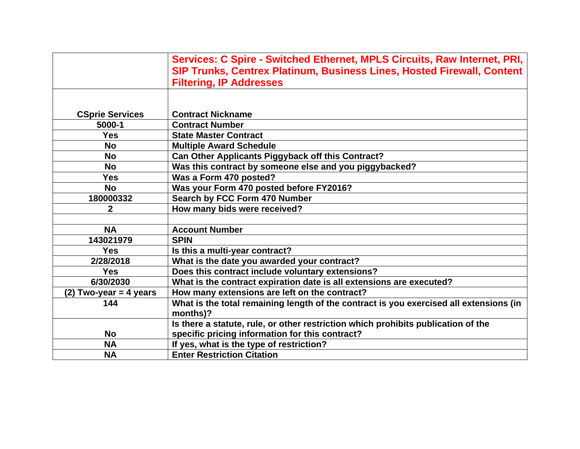|                          | Services: C Spire - Switched Ethernet, MPLS Circuits, Raw Internet, PRI,               |
|--------------------------|----------------------------------------------------------------------------------------|
|                          | SIP Trunks, Centrex Platinum, Business Lines, Hosted Firewall, Content                 |
|                          | <b>Filtering, IP Addresses</b>                                                         |
|                          |                                                                                        |
|                          |                                                                                        |
| <b>CSprie Services</b>   | <b>Contract Nickname</b>                                                               |
| 5000-1                   | <b>Contract Number</b>                                                                 |
| <b>Yes</b>               | <b>State Master Contract</b>                                                           |
| <b>No</b>                | <b>Multiple Award Schedule</b>                                                         |
| <b>No</b>                | Can Other Applicants Piggyback off this Contract?                                      |
| <b>No</b>                | Was this contract by someone else and you piggybacked?                                 |
| <b>Yes</b>               | Was a Form 470 posted?                                                                 |
| <b>No</b>                | Was your Form 470 posted before FY2016?                                                |
| 180000332                | Search by FCC Form 470 Number                                                          |
| 2                        | How many bids were received?                                                           |
|                          |                                                                                        |
| <b>NA</b>                | <b>Account Number</b>                                                                  |
| 143021979                | <b>SPIN</b>                                                                            |
| <b>Yes</b>               | Is this a multi-year contract?                                                         |
| 2/28/2018                | What is the date you awarded your contract?                                            |
| <b>Yes</b>               | Does this contract include voluntary extensions?                                       |
| 6/30/2030                | What is the contract expiration date is all extensions are executed?                   |
| $(2)$ Two-year = 4 years | How many extensions are left on the contract?                                          |
| 144                      | What is the total remaining length of the contract is you exercised all extensions (in |
|                          | months)?                                                                               |
|                          | Is there a statute, rule, or other restriction which prohibits publication of the      |
| <b>No</b>                | specific pricing information for this contract?                                        |
| <b>NA</b>                | If yes, what is the type of restriction?                                               |
| <b>NA</b>                | <b>Enter Restriction Citation</b>                                                      |